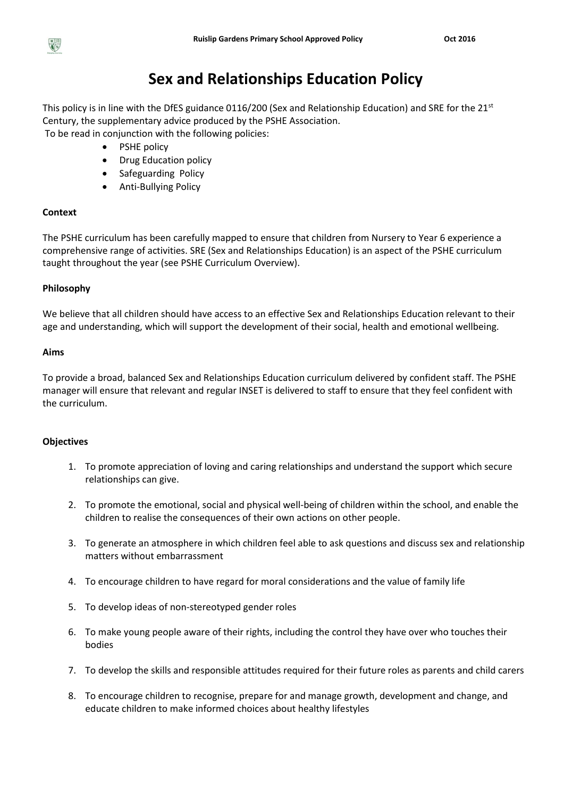

# **Sex and Relationships Education Policy**

This policy is in line with the DfES guidance 0116/200 (Sex and Relationship Education) and SRE for the 21<sup>st</sup> Century, the supplementary advice produced by the PSHE Association. To be read in conjunction with the following policies:

- PSHE policy
- Drug Education policy
- Safeguarding Policy
- Anti-Bullying Policy

# **Context**

The PSHE curriculum has been carefully mapped to ensure that children from Nursery to Year 6 experience a comprehensive range of activities. SRE (Sex and Relationships Education) is an aspect of the PSHE curriculum taught throughout the year (see PSHE Curriculum Overview).

# **Philosophy**

We believe that all children should have access to an effective Sex and Relationships Education relevant to their age and understanding, which will support the development of their social, health and emotional wellbeing.

# **Aims**

To provide a broad, balanced Sex and Relationships Education curriculum delivered by confident staff. The PSHE manager will ensure that relevant and regular INSET is delivered to staff to ensure that they feel confident with the curriculum.

# **Objectives**

- 1. To promote appreciation of loving and caring relationships and understand the support which secure relationships can give.
- 2. To promote the emotional, social and physical well-being of children within the school, and enable the children to realise the consequences of their own actions on other people.
- 3. To generate an atmosphere in which children feel able to ask questions and discuss sex and relationship matters without embarrassment
- 4. To encourage children to have regard for moral considerations and the value of family life
- 5. To develop ideas of non-stereotyped gender roles
- 6. To make young people aware of their rights, including the control they have over who touches their bodies
- 7. To develop the skills and responsible attitudes required for their future roles as parents and child carers
- 8. To encourage children to recognise, prepare for and manage growth, development and change, and educate children to make informed choices about healthy lifestyles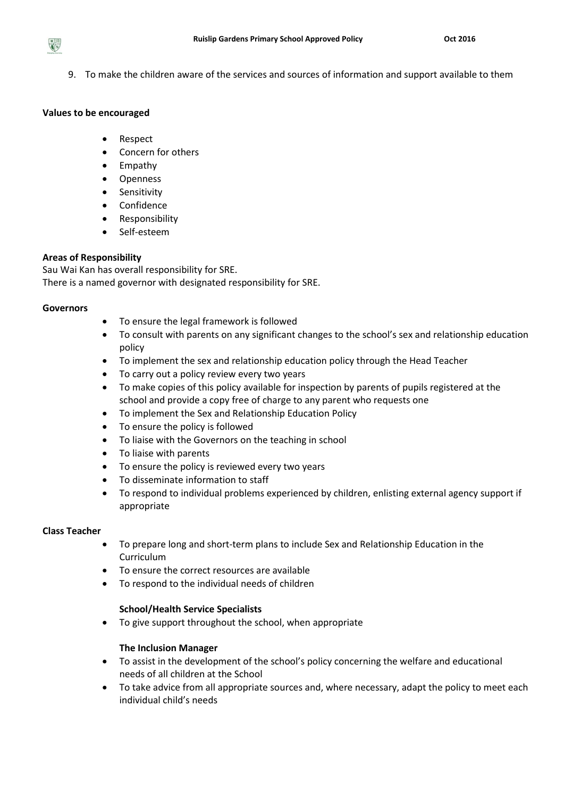9. To make the children aware of the services and sources of information and support available to them

## **Values to be encouraged**

 $R =$ 

- Respect
- Concern for others
- Empathy
- Openness
- Sensitivity
- Confidence
- Responsibility
- Self-esteem

# **Areas of Responsibility**

Sau Wai Kan has overall responsibility for SRE. There is a named governor with designated responsibility for SRE.

## **Governors**

- To ensure the legal framework is followed
- To consult with parents on any significant changes to the school's sex and relationship education policy
- To implement the sex and relationship education policy through the Head Teacher
- To carry out a policy review every two years
- To make copies of this policy available for inspection by parents of pupils registered at the school and provide a copy free of charge to any parent who requests one
- To implement the Sex and Relationship Education Policy
- To ensure the policy is followed
- To liaise with the Governors on the teaching in school
- To liaise with parents
- To ensure the policy is reviewed every two years
- To disseminate information to staff
- To respond to individual problems experienced by children, enlisting external agency support if appropriate

# **Class Teacher**

- To prepare long and short-term plans to include Sex and Relationship Education in the Curriculum
- To ensure the correct resources are available
- To respond to the individual needs of children

# **School/Health Service Specialists**

To give support throughout the school, when appropriate

# **The Inclusion Manager**

- To assist in the development of the school's policy concerning the welfare and educational needs of all children at the School
- To take advice from all appropriate sources and, where necessary, adapt the policy to meet each individual child's needs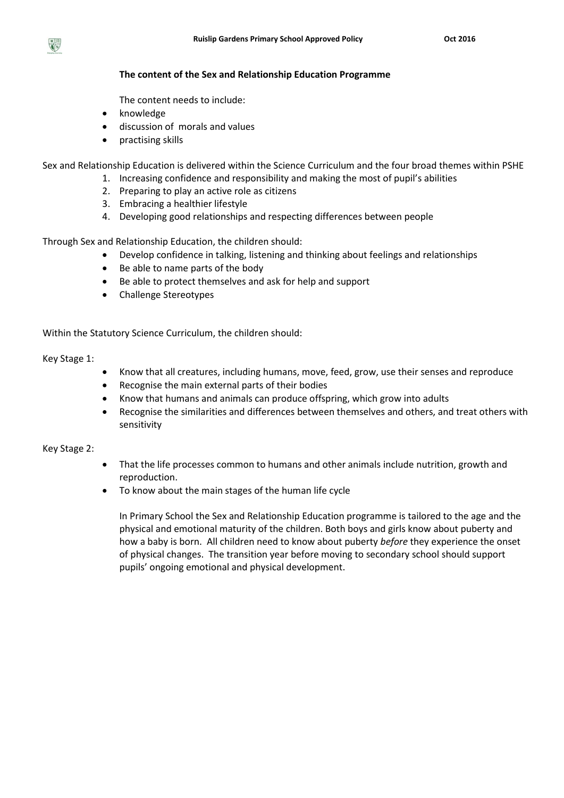

The content needs to include:

- knowledge
- discussion of morals and values
- practising skills

Sex and Relationship Education is delivered within the Science Curriculum and the four broad themes within PSHE

- 1. Increasing confidence and responsibility and making the most of pupil's abilities
	- 2. Preparing to play an active role as citizens
	- 3. Embracing a healthier lifestyle
	- 4. Developing good relationships and respecting differences between people

Through Sex and Relationship Education, the children should:

- Develop confidence in talking, listening and thinking about feelings and relationships
- Be able to name parts of the body
- Be able to protect themselves and ask for help and support
- Challenge Stereotypes

Within the Statutory Science Curriculum, the children should:

Key Stage 1:

- Know that all creatures, including humans, move, feed, grow, use their senses and reproduce
- Recognise the main external parts of their bodies
- Know that humans and animals can produce offspring, which grow into adults
- Recognise the similarities and differences between themselves and others, and treat others with sensitivity

Key Stage 2:

- That the life processes common to humans and other animals include nutrition, growth and reproduction.
- To know about the main stages of the human life cycle

In Primary School the Sex and Relationship Education programme is tailored to the age and the physical and emotional maturity of the children. Both boys and girls know about puberty and how a baby is born. All children need to know about puberty *before* they experience the onset of physical changes. The transition year before moving to secondary school should support pupils' ongoing emotional and physical development.

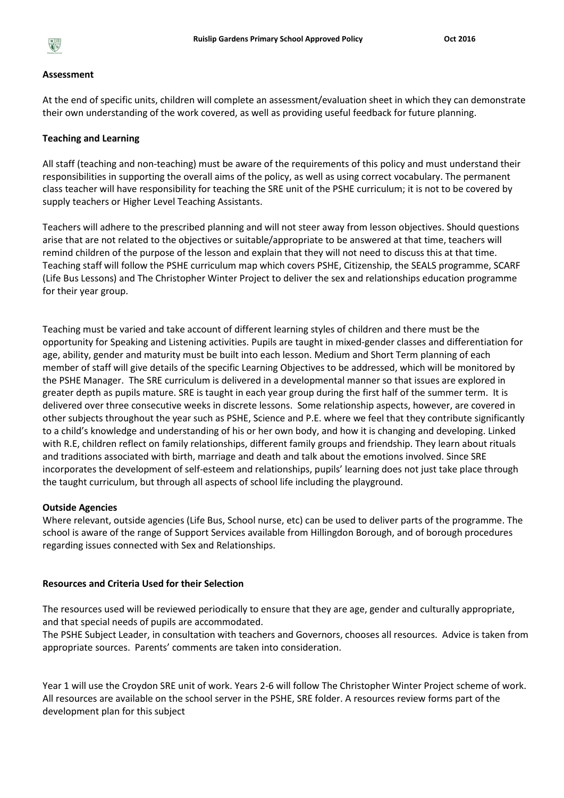

#### **Assessment**

At the end of specific units, children will complete an assessment/evaluation sheet in which they can demonstrate their own understanding of the work covered, as well as providing useful feedback for future planning.

#### **Teaching and Learning**

All staff (teaching and non-teaching) must be aware of the requirements of this policy and must understand their responsibilities in supporting the overall aims of the policy, as well as using correct vocabulary. The permanent class teacher will have responsibility for teaching the SRE unit of the PSHE curriculum; it is not to be covered by supply teachers or Higher Level Teaching Assistants.

Teachers will adhere to the prescribed planning and will not steer away from lesson objectives. Should questions arise that are not related to the objectives or suitable/appropriate to be answered at that time, teachers will remind children of the purpose of the lesson and explain that they will not need to discuss this at that time. Teaching staff will follow the PSHE curriculum map which covers PSHE, Citizenship, the SEALS programme, SCARF (Life Bus Lessons) and The Christopher Winter Project to deliver the sex and relationships education programme for their year group.

Teaching must be varied and take account of different learning styles of children and there must be the opportunity for Speaking and Listening activities. Pupils are taught in mixed-gender classes and differentiation for age, ability, gender and maturity must be built into each lesson. Medium and Short Term planning of each member of staff will give details of the specific Learning Objectives to be addressed, which will be monitored by the PSHE Manager. The SRE curriculum is delivered in a developmental manner so that issues are explored in greater depth as pupils mature. SRE is taught in each year group during the first half of the summer term. It is delivered over three consecutive weeks in discrete lessons. Some relationship aspects, however, are covered in other subjects throughout the year such as PSHE, Science and P.E. where we feel that they contribute significantly to a child's knowledge and understanding of his or her own body, and how it is changing and developing. Linked with R.E, children reflect on family relationships, different family groups and friendship. They learn about rituals and traditions associated with birth, marriage and death and talk about the emotions involved. Since SRE incorporates the development of self-esteem and relationships, pupils' learning does not just take place through the taught curriculum, but through all aspects of school life including the playground.

#### **Outside Agencies**

Where relevant, outside agencies (Life Bus, School nurse, etc) can be used to deliver parts of the programme. The school is aware of the range of Support Services available from Hillingdon Borough, and of borough procedures regarding issues connected with Sex and Relationships.

#### **Resources and Criteria Used for their Selection**

The resources used will be reviewed periodically to ensure that they are age, gender and culturally appropriate, and that special needs of pupils are accommodated.

The PSHE Subject Leader, in consultation with teachers and Governors, chooses all resources. Advice is taken from appropriate sources. Parents' comments are taken into consideration.

Year 1 will use the Croydon SRE unit of work. Years 2-6 will follow The Christopher Winter Project scheme of work. All resources are available on the school server in the PSHE, SRE folder. A resources review forms part of the development plan for this subject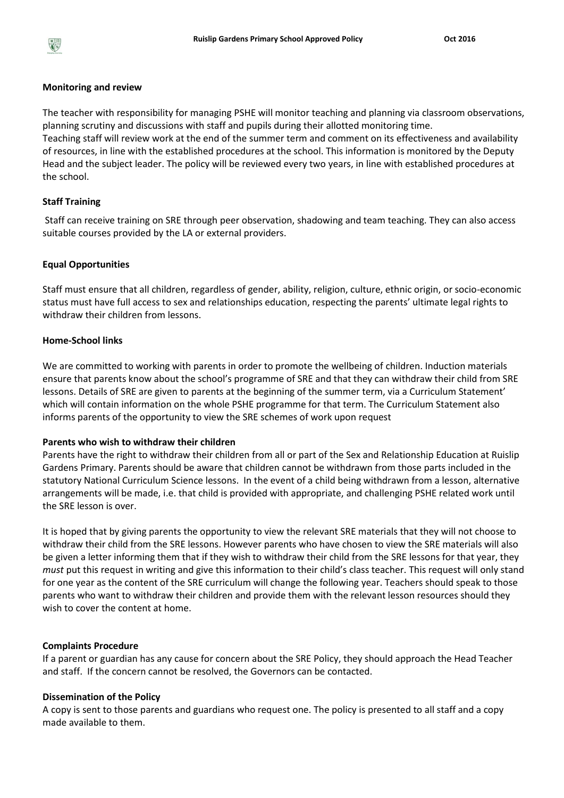

#### **Monitoring and review**

The teacher with responsibility for managing PSHE will monitor teaching and planning via classroom observations, planning scrutiny and discussions with staff and pupils during their allotted monitoring time. Teaching staff will review work at the end of the summer term and comment on its effectiveness and availability of resources, in line with the established procedures at the school. This information is monitored by the Deputy Head and the subject leader. The policy will be reviewed every two years, in line with established procedures at the school.

## **Staff Training**

Staff can receive training on SRE through peer observation, shadowing and team teaching. They can also access suitable courses provided by the LA or external providers.

#### **Equal Opportunities**

Staff must ensure that all children, regardless of gender, ability, religion, culture, ethnic origin, or socio-economic status must have full access to sex and relationships education, respecting the parents' ultimate legal rights to withdraw their children from lessons.

## **Home-School links**

We are committed to working with parents in order to promote the wellbeing of children. Induction materials ensure that parents know about the school's programme of SRE and that they can withdraw their child from SRE lessons. Details of SRE are given to parents at the beginning of the summer term, via a Curriculum Statement' which will contain information on the whole PSHE programme for that term. The Curriculum Statement also informs parents of the opportunity to view the SRE schemes of work upon request

### **Parents who wish to withdraw their children**

Parents have the right to withdraw their children from all or part of the Sex and Relationship Education at Ruislip Gardens Primary. Parents should be aware that children cannot be withdrawn from those parts included in the statutory National Curriculum Science lessons. In the event of a child being withdrawn from a lesson, alternative arrangements will be made, i.e. that child is provided with appropriate, and challenging PSHE related work until the SRE lesson is over.

It is hoped that by giving parents the opportunity to view the relevant SRE materials that they will not choose to withdraw their child from the SRE lessons. However parents who have chosen to view the SRE materials will also be given a letter informing them that if they wish to withdraw their child from the SRE lessons for that year, they *must* put this request in writing and give this information to their child's class teacher. This request will only stand for one year as the content of the SRE curriculum will change the following year. Teachers should speak to those parents who want to withdraw their children and provide them with the relevant lesson resources should they wish to cover the content at home.

#### **Complaints Procedure**

If a parent or guardian has any cause for concern about the SRE Policy, they should approach the Head Teacher and staff. If the concern cannot be resolved, the Governors can be contacted.

#### **Dissemination of the Policy**

A copy is sent to those parents and guardians who request one. The policy is presented to all staff and a copy made available to them.